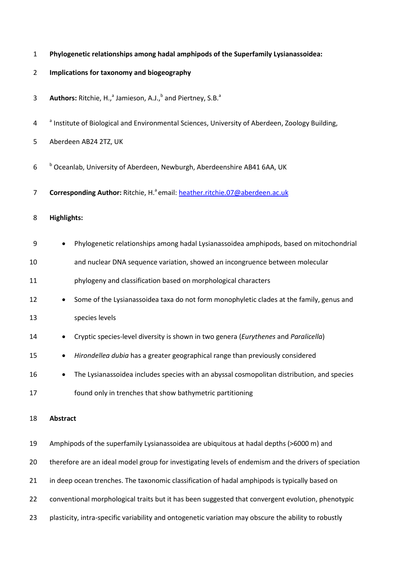|  |  |  |  |  |  | Phylogenetic relationships among hadal amphipods of the Superfamily Lysianassoidea: |
|--|--|--|--|--|--|-------------------------------------------------------------------------------------|
|--|--|--|--|--|--|-------------------------------------------------------------------------------------|

- **Implications for taxonomy and biogeography**
- Authors: Ritchie, H.,<sup>a</sup> Jamieson, A.J.,<sup>b</sup> and Piertney, S.B.<sup>a</sup>
- <sup>a</sup> Institute of Biological and Environmental Sciences, University of Aberdeen, Zoology Building,
- Aberdeen AB24 2TZ, UK
- **b** Oceanlab, University of Aberdeen, Newburgh, Aberdeenshire AB41 6AA, UK
- 7 **Corresponding Author:** Ritchie, H.<sup>a</sup> email[: heather.ritchie.07@aberdeen.ac.uk](mailto:heather.ritchie.07@aberdeen.ac.uk)
- **Highlights:**

| 9  | Phylogenetic relationships among hadal Lysianassoidea amphipods, based on mitochondrial               |
|----|-------------------------------------------------------------------------------------------------------|
| 10 | and nuclear DNA sequence variation, showed an incongruence between molecular                          |
| 11 | phylogeny and classification based on morphological characters                                        |
| 12 | Some of the Lysianassoidea taxa do not form monophyletic clades at the family, genus and              |
| 13 | species levels                                                                                        |
| 14 | Cryptic species-level diversity is shown in two genera (Eurythenes and Paralicella)<br>$\bullet$      |
| 15 | Hirondellea dubia has a greater geographical range than previously considered<br>٠                    |
| 16 | The Lysianassoidea includes species with an abyssal cosmopolitan distribution, and species            |
| 17 | found only in trenches that show bathymetric partitioning                                             |
| 18 | <b>Abstract</b>                                                                                       |
| 19 | Amphipods of the superfamily Lysianassoidea are ubiquitous at hadal depths (>6000 m) and              |
| 20 | therefore are an ideal model group for investigating levels of endemism and the drivers of speciation |
| 21 | in deep ocean trenches. The taxonomic classification of hadal amphipods is typically based on         |

- conventional morphological traits but it has been suggested that convergent evolution, phenotypic
- plasticity, intra-specific variability and ontogenetic variation may obscure the ability to robustly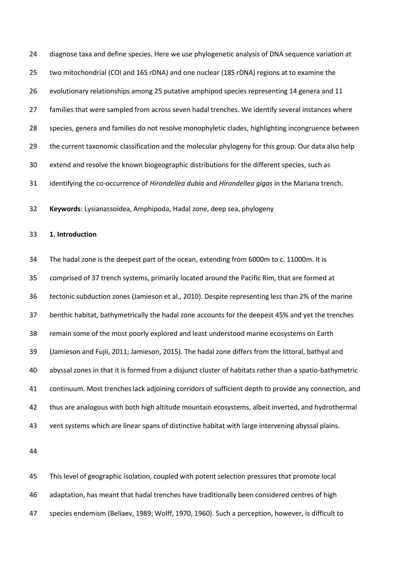diagnose taxa and define species. Here we use phylogenetic analysis of DNA sequence variation at two mitochondrial (COI and 16S rDNA) and one nuclear (18S rDNA) regions at to examine the evolutionary relationships among 25 putative amphipod species representing 14 genera and 11 27 families that were sampled from across seven hadal trenches. We identify several instances where species, genera and families do not resolve monophyletic clades, highlighting incongruence between the current taxonomic classification and the molecular phylogeny for this group. Our data also help extend and resolve the known biogeographic distributions for the different species, such as identifying the co-occurrence of *Hirondellea dubia* and *Hirondellea gigas* in the Mariana trench. **Keywords**: Lysianassoidea, Amphipoda, Hadal zone, deep sea, phylogeny **1. Introduction**  The hadal zone is the deepest part of the ocean, extending from 6000m to c. 11000m. It is comprised of 37 trench systems, primarily located around the Pacific Rim, that are formed at tectonic subduction zones (Jamieson et al., 2010). Despite representing less than 2% of the marine benthic habitat, bathymetrically the hadal zone accounts for the deepest 45% and yet the trenches remain some of the most poorly explored and least understood marine ecosystems on Earth (Jamieson and Fujii, 2011; Jamieson, 2015). The hadal zone differs from the littoral, bathyal and abyssal zones in that it is formed from a disjunct cluster of habitats rather than a spatio-bathymetric continuum. Most trenches lack adjoining corridors of sufficient depth to provide any connection, and thus are analogous with both high altitude mountain ecosystems, albeit inverted, and hydrothermal vent systems which are linear spans of distinctive habitat with large intervening abyssal plains.

 This level of geographic isolation, coupled with potent selection pressures that promote local adaptation, has meant that hadal trenches have traditionally been considered centres of high species endemism (Beliaev, 1989; Wolff, 1970, 1960). Such a perception, however, is difficult to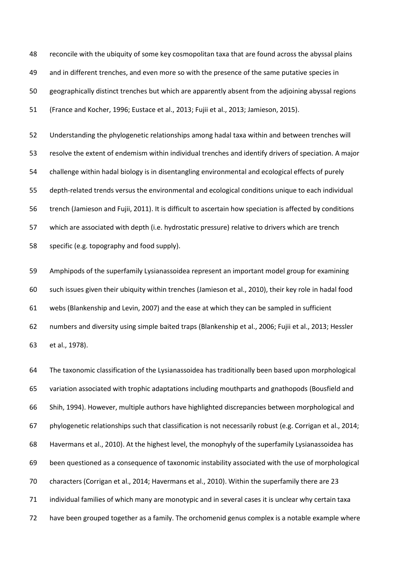reconcile with the ubiquity of some key cosmopolitan taxa that are found across the abyssal plains and in different trenches, and even more so with the presence of the same putative species in geographically distinct trenches but which are apparently absent from the adjoining abyssal regions (France and Kocher, 1996; Eustace et al., 2013; Fujii et al., 2013; Jamieson, 2015).

 Understanding the phylogenetic relationships among hadal taxa within and between trenches will resolve the extent of endemism within individual trenches and identify drivers of speciation. A major challenge within hadal biology is in disentangling environmental and ecological effects of purely depth-related trends versus the environmental and ecological conditions unique to each individual trench (Jamieson and Fujii, 2011). It is difficult to ascertain how speciation is affected by conditions which are associated with depth (i.e. hydrostatic pressure) relative to drivers which are trench specific (e.g. topography and food supply).

 Amphipods of the superfamily Lysianassoidea represent an important model group for examining such issues given their ubiquity within trenches (Jamieson et al., 2010), their key role in hadal food webs (Blankenship and Levin, 2007) and the ease at which they can be sampled in sufficient numbers and diversity using simple baited traps (Blankenship et al., 2006; Fujii et al., 2013; Hessler et al., 1978).

 The taxonomic classification of the Lysianassoidea has traditionally been based upon morphological variation associated with trophic adaptations including mouthparts and gnathopods (Bousfield and Shih, 1994). However, multiple authors have highlighted discrepancies between morphological and phylogenetic relationships such that classification is not necessarily robust (e.g. Corrigan et al., 2014; Havermans et al., 2010). At the highest level, the monophyly of the superfamily Lysianassoidea has been questioned as a consequence of taxonomic instability associated with the use of morphological characters (Corrigan et al., 2014; Havermans et al., 2010). Within the superfamily there are 23 individual families of which many are monotypic and in several cases it is unclear why certain taxa have been grouped together as a family. The orchomenid genus complex is a notable example where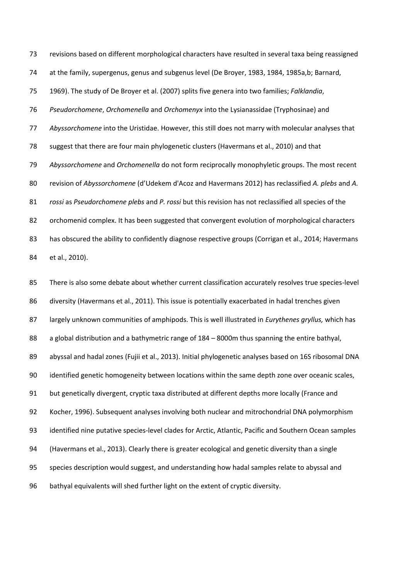revisions based on different morphological characters have resulted in several taxa being reassigned at the family, supergenus, genus and subgenus level (De Broyer, 1983, 1984, 1985a,b; Barnard, 1969). The study of De Broyer et al. (2007) splits five genera into two families; *Falklandia*, *Pseudorchomene*, *Orchomenella* and *Orchomenyx* into the Lysianassidae (Tryphosinae) and *Abyssorchomene* into the Uristidae. However, this still does not marry with molecular analyses that suggest that there are four main phylogenetic clusters (Havermans et al., 2010) and that *Abyssorchomene* and *Orchomenella* do not form reciprocally monophyletic groups. The most recent revision of *Abyssorchomene* (d'Udekem d'Acoz and Havermans 2012) has reclassified *A. plebs* and *A. rossi* as *Pseudorchomene plebs* and *P. rossi* but this revision has not reclassified all species of the 82 orchomenid complex. It has been suggested that convergent evolution of morphological characters 83 has obscured the ability to confidently diagnose respective groups (Corrigan et al., 2014; Havermans et al., 2010).

 There is also some debate about whether current classification accurately resolves true species-level diversity (Havermans et al., 2011). This issue is potentially exacerbated in hadal trenches given largely unknown communities of amphipods. This is well illustrated in *Eurythenes gryllus,* which has a global distribution and a bathymetric range of 184 – 8000m thus spanning the entire bathyal, abyssal and hadal zones (Fujii et al., 2013). Initial phylogenetic analyses based on 16S ribosomal DNA identified genetic homogeneity between locations within the same depth zone over oceanic scales, but genetically divergent, cryptic taxa distributed at different depths more locally (France and Kocher, 1996). Subsequent analyses involving both nuclear and mitrochondrial DNA polymorphism identified nine putative species-level clades for Arctic, Atlantic, Pacific and Southern Ocean samples (Havermans et al., 2013). Clearly there is greater ecological and genetic diversity than a single species description would suggest, and understanding how hadal samples relate to abyssal and bathyal equivalents will shed further light on the extent of cryptic diversity.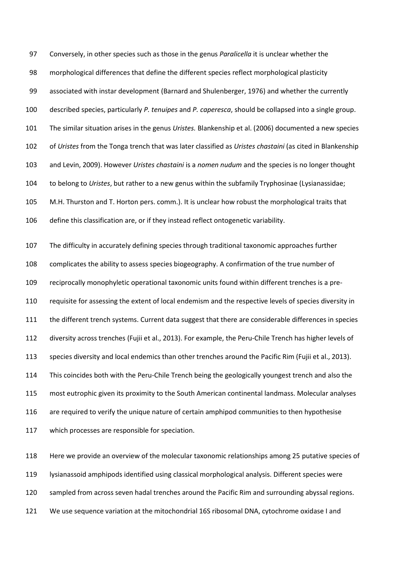Conversely, in other species such as those in the genus *Paralicella* it is unclear whether the morphological differences that define the different species reflect morphological plasticity associated with instar development (Barnard and Shulenberger, 1976) and whether the currently described species, particularly *P. tenuipes* and *P. caperesca*, should be collapsed into a single group. The similar situation arises in the genus *Uristes.* Blankenship et al. (2006) documented a new species of *Uristes* from the Tonga trench that was later classified as *Uristes chastaini* (as cited in Blankenship and Levin, 2009). However *Uristes chastaini* is a *nomen nudum* and the species is no longer thought to belong to *Uristes*, but rather to a new genus within the subfamily Tryphosinae (Lysianassidae; M.H. Thurston and T. Horton pers. comm.). It is unclear how robust the morphological traits that define this classification are, or if they instead reflect ontogenetic variability.

 The difficulty in accurately defining species through traditional taxonomic approaches further complicates the ability to assess species biogeography. A confirmation of the true number of reciprocally monophyletic operational taxonomic units found within different trenches is a pre- requisite for assessing the extent of local endemism and the respective levels of species diversity in the different trench systems. Current data suggest that there are considerable differences in species diversity across trenches (Fujii et al., 2013). For example, the Peru-Chile Trench has higher levels of species diversity and local endemics than other trenches around the Pacific Rim (Fujii et al., 2013). This coincides both with the Peru-Chile Trench being the geologically youngest trench and also the most eutrophic given its proximity to the South American continental landmass. Molecular analyses 116 are required to verify the unique nature of certain amphipod communities to then hypothesise which processes are responsible for speciation.

 Here we provide an overview of the molecular taxonomic relationships among 25 putative species of lysianassoid amphipods identified using classical morphological analysis. Different species were sampled from across seven hadal trenches around the Pacific Rim and surrounding abyssal regions. We use sequence variation at the mitochondrial 16S ribosomal DNA, cytochrome oxidase I and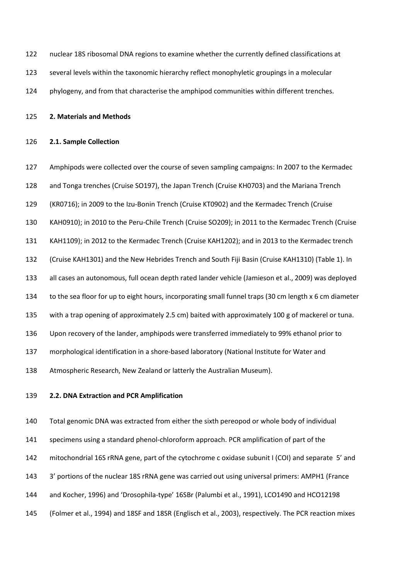| 122 | nuclear 18S ribosomal DNA regions to examine whether the currently defined classifications at |
|-----|-----------------------------------------------------------------------------------------------|
| 123 | several levels within the taxonomic hierarchy reflect monophyletic groupings in a molecular   |

124 phylogeny, and from that characterise the amphipod communities within different trenches.

**2. Materials and Methods**

#### **2.1. Sample Collection**

 Amphipods were collected over the course of seven sampling campaigns: In 2007 to the Kermadec and Tonga trenches (Cruise SO197), the Japan Trench (Cruise KH0703) and the Mariana Trench (KR0716); in 2009 to the Izu-Bonin Trench (Cruise KT0902) and the Kermadec Trench (Cruise KAH0910); in 2010 to the Peru-Chile Trench (Cruise SO209); in 2011 to the Kermadec Trench (Cruise KAH1109); in 2012 to the Kermadec Trench (Cruise KAH1202); and in 2013 to the Kermadec trench (Cruise KAH1301) and the New Hebrides Trench and South Fiji Basin (Cruise KAH1310) (Table 1). In all cases an autonomous, full ocean depth rated lander vehicle (Jamieson et al., 2009) was deployed to the sea floor for up to eight hours, incorporating small funnel traps (30 cm length x 6 cm diameter with a trap opening of approximately 2.5 cm) baited with approximately 100 g of mackerel or tuna. Upon recovery of the lander, amphipods were transferred immediately to 99% ethanol prior to morphological identification in a shore-based laboratory (National Institute for Water and Atmospheric Research, New Zealand or latterly the Australian Museum).

#### **2.2. DNA Extraction and PCR Amplification**

 Total genomic DNA was extracted from either the sixth pereopod or whole body of individual specimens using a standard phenol-chloroform approach. PCR amplification of part of the mitochondrial 16S rRNA gene, part of the cytochrome c oxidase subunit I (COI) and separate 5' and 3' portions of the nuclear 18S rRNA gene was carried out using universal primers: AMPH1 (France and Kocher, 1996) and 'Drosophila-type' 16SBr (Palumbi et al., 1991), LCO1490 and HCO12198 (Folmer et al., 1994) and 18SF and 18SR (Englisch et al., 2003), respectively. The PCR reaction mixes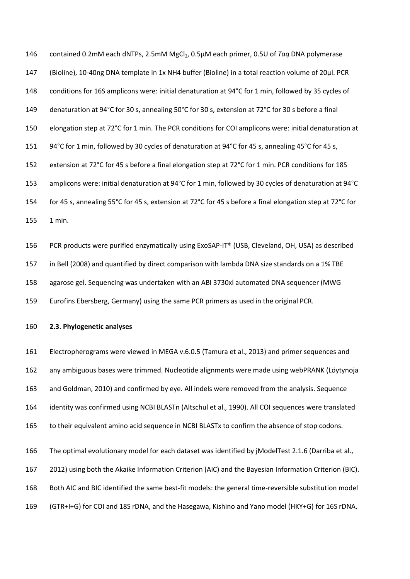146 contained 0.2mM each dNTPs, 2.5mM MgCl<sub>2</sub>, 0.5µM each primer, 0.5U of *Taq* DNA polymerase (Bioline), 10-40ng DNA template in 1x NH4 buffer (Bioline) in a total reaction volume of 20µl. PCR conditions for 16S amplicons were: initial denaturation at 94°C for 1 min, followed by 35 cycles of denaturation at 94°C for 30 s, annealing 50°C for 30 s, extension at 72°C for 30 s before a final elongation step at 72°C for 1 min. The PCR conditions for COI amplicons were: initial denaturation at 151 94°C for 1 min, followed by 30 cycles of denaturation at 94°C for 45 s, annealing 45°C for 45 s, extension at 72°C for 45 s before a final elongation step at 72°C for 1 min. PCR conditions for 18S amplicons were: initial denaturation at 94°C for 1 min, followed by 30 cycles of denaturation at 94°C for 45 s, annealing 55°C for 45 s, extension at 72°C for 45 s before a final elongation step at 72°C for 1 min.

 PCR products were purified enzymatically using ExoSAP-IT® (USB, Cleveland, OH, USA) as described in Bell (2008) and quantified by direct comparison with lambda DNA size standards on a 1% TBE agarose gel. Sequencing was undertaken with an ABI 3730xl automated DNA sequencer (MWG Eurofins Ebersberg, Germany) using the same PCR primers as used in the original PCR.

## **2.3. Phylogenetic analyses**

 Electropherograms were viewed in MEGA v.6.0.5 (Tamura et al., 2013) and primer sequences and any ambiguous bases were trimmed. Nucleotide alignments were made using webPRANK (Löytynoja and Goldman, 2010) and confirmed by eye. All indels were removed from the analysis. Sequence identity was confirmed using NCBI BLASTn (Altschul et al., 1990). All COI sequences were translated to their equivalent amino acid sequence in NCBI BLASTx to confirm the absence of stop codons.

 The optimal evolutionary model for each dataset was identified by jModelTest 2.1.6 (Darriba et al., 2012) using both the Akaike Information Criterion (AIC) and the Bayesian Information Criterion (BIC). Both AIC and BIC identified the same best-fit models: the general time-reversible substitution model (GTR+I+G) for COI and 18S rDNA, and the Hasegawa, Kishino and Yano model (HKY+G) for 16S rDNA.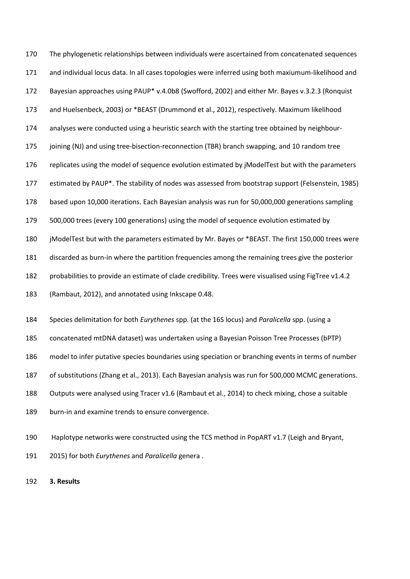The phylogenetic relationships between individuals were ascertained from concatenated sequences and individual locus data. In all cases topologies were inferred using both maxiumum-likelihood and Bayesian approaches using PAUP\* v.4.0b8 (Swofford, 2002) and either Mr. Bayes v.3.2.3 (Ronquist and Huelsenbeck, 2003) or \*BEAST (Drummond et al., 2012), respectively. Maximum likelihood analyses were conducted using a heuristic search with the starting tree obtained by neighbour- joining (NJ) and using tree-bisection-reconnection (TBR) branch swapping, and 10 random tree replicates using the model of sequence evolution estimated by jModelTest but with the parameters estimated by PAUP\*. The stability of nodes was assessed from bootstrap support (Felsenstein, 1985) based upon 10,000 iterations. Each Bayesian analysis was run for 50,000,000 generations sampling 500,000 trees (every 100 generations) using the model of sequence evolution estimated by jModelTest but with the parameters estimated by Mr. Bayes or \*BEAST. The first 150,000 trees were discarded as burn-in where the partition frequencies among the remaining trees give the posterior probabilities to provide an estimate of clade credibility. Trees were visualised using FigTree v1.4.2 (Rambaut, 2012), and annotated using Inkscape 0.48.

 Species delimitation for both *Eurythenes* spp. (at the 16S locus) and *Paralicella* spp. (using a concatenated mtDNA dataset) was undertaken using a Bayesian Poisson Tree Processes (bPTP) model to infer putative species boundaries using speciation or branching events in terms of number of substitutions (Zhang et al., 2013). Each Bayesian analysis was run for 500,000 MCMC generations. Outputs were analysed using Tracer v1.6 (Rambaut et al., 2014) to check mixing, chose a suitable burn-in and examine trends to ensure convergence.

 Haplotype networks were constructed using the TCS method in PopART v1.7 (Leigh and Bryant, 2015) for both *Eurythenes* and *Paralicella* genera .

**3. Results**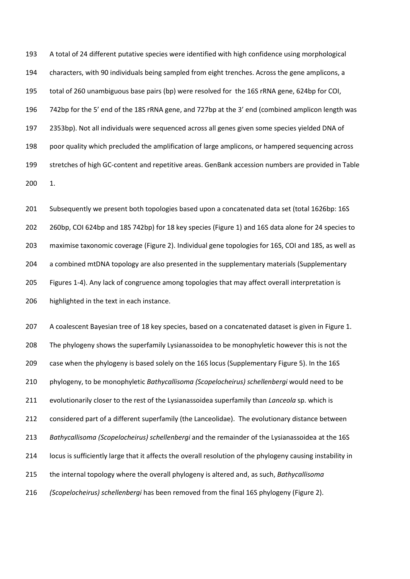A total of 24 different putative species were identified with high confidence using morphological characters, with 90 individuals being sampled from eight trenches. Across the gene amplicons, a total of 260 unambiguous base pairs (bp) were resolved for the 16S rRNA gene, 624bp for COI, 742bp for the 5' end of the 18S rRNA gene, and 727bp at the 3' end (combined amplicon length was 2353bp). Not all individuals were sequenced across all genes given some species yielded DNA of poor quality which precluded the amplification of large amplicons, or hampered sequencing across stretches of high GC-content and repetitive areas. GenBank accession numbers are provided in Table 1.

 Subsequently we present both topologies based upon a concatenated data set (total 1626bp: 16S 260bp, COI 624bp and 18S 742bp) for 18 key species (Figure 1) and 16S data alone for 24 species to maximise taxonomic coverage (Figure 2). Individual gene topologies for 16S, COI and 18S, as well as 204 a combined mtDNA topology are also presented in the supplementary materials (Supplementary Figures 1-4). Any lack of congruence among topologies that may affect overall interpretation is highlighted in the text in each instance.

 A coalescent Bayesian tree of 18 key species, based on a concatenated dataset is given in Figure 1. The phylogeny shows the superfamily Lysianassoidea to be monophyletic however this is not the case when the phylogeny is based solely on the 16S locus (Supplementary Figure 5). In the 16S phylogeny, to be monophyletic *Bathycallisoma (Scopelocheirus) schellenbergi* would need to be evolutionarily closer to the rest of the Lysianassoidea superfamily than *Lanceola* sp. which is considered part of a different superfamily (the Lanceolidae). The evolutionary distance between *Bathycallisoma (Scopelocheirus) schellenbergi* and the remainder of the Lysianassoidea at the 16S locus is sufficiently large that it affects the overall resolution of the phylogeny causing instability in the internal topology where the overall phylogeny is altered and, as such, *Bathycallisoma (Scopelocheirus) schellenbergi* has been removed from the final 16S phylogeny (Figure 2).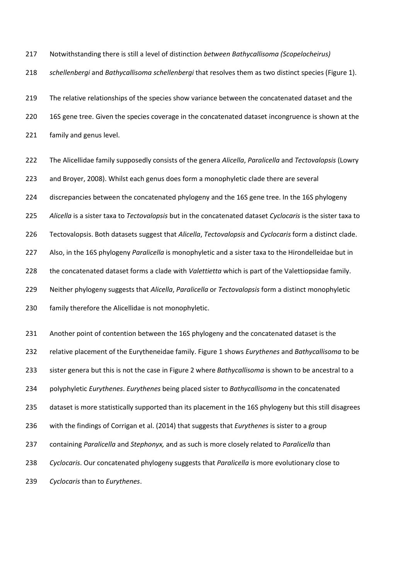Notwithstanding there is still a level of distinction *between Bathycallisoma (Scopelocheirus)* 

*schellenbergi* and *Bathycallisoma schellenbergi* that resolves them as two distinct species (Figure 1).

219 The relative relationships of the species show variance between the concatenated dataset and the 16S gene tree. Given the species coverage in the concatenated dataset incongruence is shown at the family and genus level.

 The Alicellidae family supposedly consists of the genera *Alicella*, *Paralicella* and *Tectovalopsis* (Lowry and Broyer, 2008). Whilst each genus does form a monophyletic clade there are several

discrepancies between the concatenated phylogeny and the 16S gene tree. In the 16S phylogeny

*Alicella* is a sister taxa to *Tectovalopsis* but in the concatenated dataset *Cyclocaris* is the sister taxa to

Tectovalopsis. Both datasets suggest that *Alicella*, *Tectovalopsis* and *Cyclocaris* form a distinct clade.

Also, in the 16S phylogeny *Paralicella* is monophyletic and a sister taxa to the Hirondelleidae but in

the concatenated dataset forms a clade with *Valettietta* which is part of the Valettiopsidae family.

Neither phylogeny suggests that *Alicella*, *Paralicella* or *Tectovalopsis* form a distinct monophyletic

family therefore the Alicellidae is not monophyletic.

 Another point of contention between the 16S phylogeny and the concatenated dataset is the relative placement of the Eurytheneidae family. Figure 1 shows *Eurythenes* and *Bathycallisoma* to be sister genera but this is not the case in Figure 2 where *Bathycallisoma* is shown to be ancestral to a polyphyletic *Eurythenes*. *Eurythenes* being placed sister to *Bathycallisoma* in the concatenated dataset is more statistically supported than its placement in the 16S phylogeny but this still disagrees with the findings of Corrigan et al. (2014) that suggests that *Eurythenes* is sister to a group containing *Paralicella* and *Stephonyx,* and as such is more closely related to *Paralicella* than *Cyclocaris*. Our concatenated phylogeny suggests that *Paralicella* is more evolutionary close to *Cyclocaris* than to *Eurythenes*.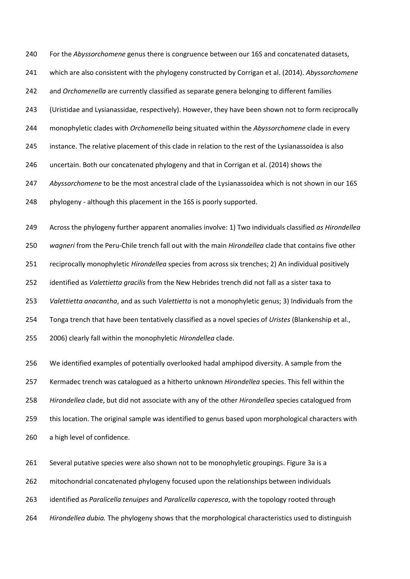For the *Abyssorchomene* genus there is congruence between our 16S and concatenated datasets, which are also consistent with the phylogeny constructed by Corrigan et al. (2014). *Abyssorchomene* and *Orchomenella* are currently classified as separate genera belonging to different families (Uristidae and Lysianassidae, respectively). However, they have been shown not to form reciprocally monophyletic clades with *Orchomenella* being situated within the *Abyssorchomene* clade in every instance. The relative placement of this clade in relation to the rest of the Lysianassoidea is also uncertain. Both our concatenated phylogeny and that in Corrigan et al. (2014) shows the *Abyssorchomene* to be the most ancestral clade of the Lysianassoidea which is not shown in our 16S phylogeny - although this placement in the 16S is poorly supported.

 Across the phylogeny further apparent anomalies involve: 1) Two individuals classified *as Hirondellea wagneri* from the Peru-Chile trench fall out with the main *Hirondellea* clade that contains five other reciprocally monophyletic *Hirondellea* species from across six trenches; 2) An individual positively identified as *Valettietta gracilis* from the New Hebrides trench did not fall as a sister taxa to *Valettietta anacantha*, and as such *Valettietta* is not a monophyletic genus; 3) Individuals from the Tonga trench that have been tentatively classified as a novel species of *Uristes* (Blankenship et al., 2006) clearly fall within the monophyletic *Hirondellea* clade.

 We identified examples of potentially overlooked hadal amphipod diversity. A sample from the Kermadec trench was catalogued as a hitherto unknown *Hirondellea* species. This fell within the *Hirondellea* clade, but did not associate with any of the other *Hirondellea* species catalogued from this location. The original sample was identified to genus based upon morphological characters with a high level of confidence.

 Several putative species were also shown not to be monophyletic groupings. Figure 3a is a mitochondrial concatenated phylogeny focused upon the relationships between individuals identified as *Paralicella tenuipes* and *Paralicella caperesca*, with the topology rooted through *Hirondellea dubia.* The phylogeny shows that the morphological characteristics used to distinguish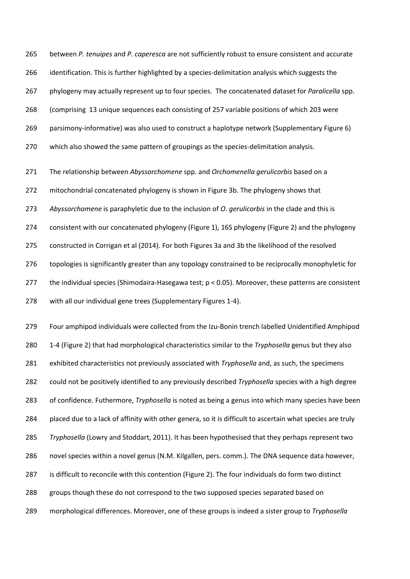between *P. tenuipes* and *P. caperesca* are not sufficiently robust to ensure consistent and accurate identification. This is further highlighted by a species-delimitation analysis which suggests the phylogeny may actually represent up to four species. The concatenated dataset for *Paralicella* spp. (comprising 13 unique sequences each consisting of 257 variable positions of which 203 were parsimony-informative) was also used to construct a haplotype network (Supplementary Figure 6) which also showed the same pattern of groupings as the species-delimitation analysis.

 The relationship between *Abyssorchomene* spp. and *Orchomenella gerulicorbis* based on a mitochondrial concatenated phylogeny is shown in Figure 3b. The phylogeny shows that *Abyssorchomene* is paraphyletic due to the inclusion of *O. gerulicorbis* in the clade and this is consistent with our concatenated phylogeny (Figure 1), 16S phylogeny (Figure 2) and the phylogeny constructed in Corrigan et al (2014). For both Figures 3a and 3b the likelihood of the resolved 276 topologies is significantly greater than any topology constrained to be reciprocally monophyletic for the individual species (Shimodaira-Hasegawa test; p < 0.05). Moreover, these patterns are consistent with all our individual gene trees (Supplementary Figures 1-4).

 Four amphipod individuals were collected from the Izu-Bonin trench labelled Unidentified Amphipod 1-4 (Figure 2) that had morphological characteristics similar to the *Tryphosella* genus but they also exhibited characteristics not previously associated with *Tryphosella* and, as such, the specimens could not be positively identified to any previously described *Tryphosella* species with a high degree of confidence. Futhermore, *Tryphosella* is noted as being a genus into which many species have been placed due to a lack of affinity with other genera, so it is difficult to ascertain what species are truly *Tryphosella* (Lowry and Stoddart, 2011). It has been hypothesised that they perhaps represent two novel species within a novel genus (N.M. Kilgallen, pers. comm.). The DNA sequence data however, is difficult to reconcile with this contention (Figure 2). The four individuals do form two distinct groups though these do not correspond to the two supposed species separated based on morphological differences. Moreover, one of these groups is indeed a sister group to *Tryphosella*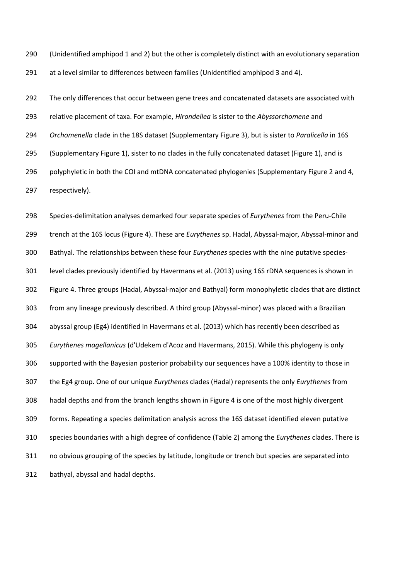(Unidentified amphipod 1 and 2) but the other is completely distinct with an evolutionary separation at a level similar to differences between families (Unidentified amphipod 3 and 4).

292 The only differences that occur between gene trees and concatenated datasets are associated with relative placement of taxa. For example, *Hirondellea* is sister to the *Abyssorchomene* and *Orchomenella* clade in the 18S dataset (Supplementary Figure 3), but is sister to *Paralicella* in 16S (Supplementary Figure 1), sister to no clades in the fully concatenated dataset (Figure 1), and is polyphyletic in both the COI and mtDNA concatenated phylogenies (Supplementary Figure 2 and 4, respectively).

 Species-delimitation analyses demarked four separate species of *Eurythenes* from the Peru-Chile trench at the 16S locus (Figure 4). These are *Eurythenes* sp. Hadal, Abyssal-major, Abyssal-minor and Bathyal. The relationships between these four *Eurythenes* species with the nine putative species- level clades previously identified by Havermans et al. (2013) using 16S rDNA sequences is shown in Figure 4. Three groups (Hadal, Abyssal-major and Bathyal) form monophyletic clades that are distinct from any lineage previously described. A third group (Abyssal-minor) was placed with a Brazilian abyssal group (Eg4) identified in Havermans et al. (2013) which has recently been described as *Eurythenes magellanicus* (d'Udekem d'Acoz and Havermans, 2015). While this phylogeny is only supported with the Bayesian posterior probability our sequences have a 100% identity to those in the Eg4 group. One of our unique *Eurythenes* clades (Hadal) represents the only *Eurythenes* from hadal depths and from the branch lengths shown in Figure 4 is one of the most highly divergent forms. Repeating a species delimitation analysis across the 16S dataset identified eleven putative species boundaries with a high degree of confidence (Table 2) among the *Eurythenes* clades. There is no obvious grouping of the species by latitude, longitude or trench but species are separated into bathyal, abyssal and hadal depths.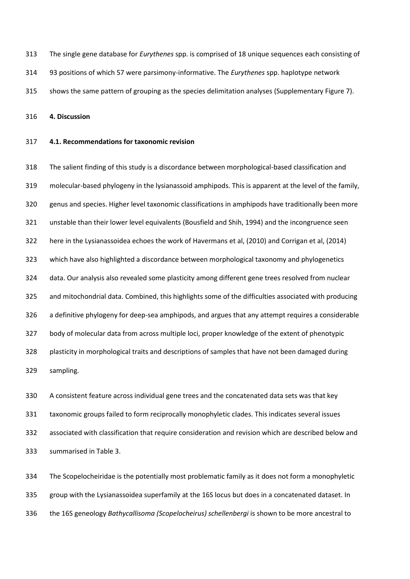- The single gene database for *Eurythenes* spp. is comprised of 18 unique sequences each consisting of
- 93 positions of which 57 were parsimony-informative. The *Eurythenes* spp. haplotype network
- shows the same pattern of grouping as the species delimitation analyses (Supplementary Figure 7).

**4. Discussion**

#### **4.1. Recommendations for taxonomic revision**

 The salient finding of this study is a discordance between morphological-based classification and molecular-based phylogeny in the lysianassoid amphipods. This is apparent at the level of the family, genus and species. Higher level taxonomic classifications in amphipods have traditionally been more unstable than their lower level equivalents (Bousfield and Shih, 1994) and the incongruence seen here in the Lysianassoidea echoes the work of Havermans et al, (2010) and Corrigan et al, (2014) which have also highlighted a discordance between morphological taxonomy and phylogenetics data. Our analysis also revealed some plasticity among different gene trees resolved from nuclear and mitochondrial data. Combined, this highlights some of the difficulties associated with producing a definitive phylogeny for deep-sea amphipods, and argues that any attempt requires a considerable body of molecular data from across multiple loci, proper knowledge of the extent of phenotypic plasticity in morphological traits and descriptions of samples that have not been damaged during sampling.

 A consistent feature across individual gene trees and the concatenated data sets was that key taxonomic groups failed to form reciprocally monophyletic clades. This indicates several issues associated with classification that require consideration and revision which are described below and summarised in Table 3.

 The Scopelocheiridae is the potentially most problematic family as it does not form a monophyletic group with the Lysianassoidea superfamily at the 16S locus but does in a concatenated dataset. In the 16S geneology *Bathycallisoma (Scopelocheirus) schellenbergi* is shown to be more ancestral to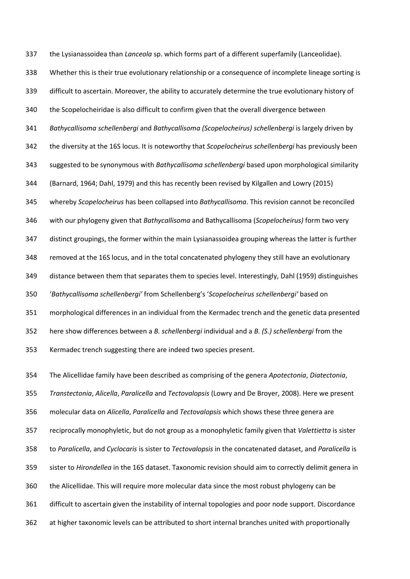the Lysianassoidea than *Lanceola* sp. which forms part of a different superfamily (Lanceolidae). Whether this is their true evolutionary relationship or a consequence of incomplete lineage sorting is difficult to ascertain. Moreover, the ability to accurately determine the true evolutionary history of the Scopelocheiridae is also difficult to confirm given that the overall divergence between *Bathycallisoma schellenbergi* and *Bathycallisoma (Scopelocheirus) schellenbergi* is largely driven by the diversity at the 16S locus. It is noteworthy that *Scopelocheirus schellenbergi* has previously been suggested to be synonymous with *Bathycallisoma schellenbergi* based upon morphological similarity (Barnard, 1964; Dahl, 1979) and this has recently been revised by Kilgallen and Lowry (2015) whereby *Scopelocheirus* has been collapsed into *Bathycallisoma*. This revision cannot be reconciled with our phylogeny given that *Bathycallisoma* and Bathycallisoma (*Scopelocheirus)* form two very distinct groupings, the former within the main Lysianassoidea grouping whereas the latter is further removed at the 16S locus, and in the total concatenated phylogeny they still have an evolutionary distance between them that separates them to species level. Interestingly, Dahl (1959) distinguishes '*Bathycallisoma schellenbergi'* from Schellenberg's '*Scopelocheirus schellenbergi'* based on morphological differences in an individual from the Kermadec trench and the genetic data presented here show differences between a *B. schellenbergi* individual and a *B. (S.) schellenbergi* from the Kermadec trench suggesting there are indeed two species present.

 The Alicellidae family have been described as comprising of the genera *Apotectonia*, *Diatectonia*, *Transtectonia*, *Alicella*, *Paralicella* and *Tectovalopsis* (Lowry and De Broyer, 2008). Here we present molecular data on *Alicella*, *Paralicella* and *Tectovalopsis* which shows these three genera are reciprocally monophyletic, but do not group as a monophyletic family given that *Valettietta* is sister to *Paralicella*, and *Cyclocaris* is sister to *Tectovalopsis* in the concatenated dataset, and *Paralicella* is sister to *Hirondellea* in the 16S dataset. Taxonomic revision should aim to correctly delimit genera in the Alicellidae. This will require more molecular data since the most robust phylogeny can be difficult to ascertain given the instability of internal topologies and poor node support. Discordance at higher taxonomic levels can be attributed to short internal branches united with proportionally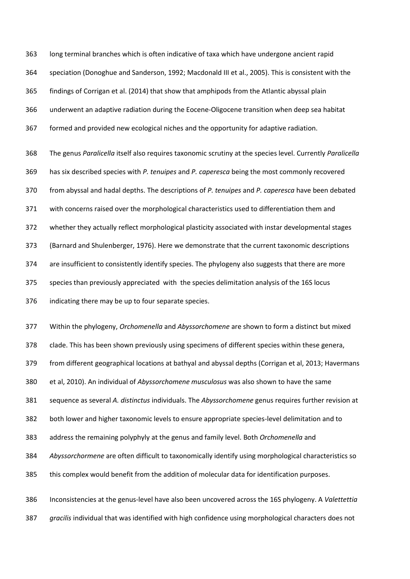long terminal branches which is often indicative of taxa which have undergone ancient rapid speciation (Donoghue and Sanderson, 1992; Macdonald III et al., 2005). This is consistent with the findings of Corrigan et al. (2014) that show that amphipods from the Atlantic abyssal plain underwent an adaptive radiation during the Eocene-Oligocene transition when deep sea habitat formed and provided new ecological niches and the opportunity for adaptive radiation. The genus *Paralicella* itself also requires taxonomic scrutiny at the species level. Currently *Paralicella* has six described species with *P. tenuipes* and *P. caperesca* being the most commonly recovered

 from abyssal and hadal depths. The descriptions of *P. tenuipes* and *P. caperesca* have been debated with concerns raised over the morphological characteristics used to differentiation them and

whether they actually reflect morphological plasticity associated with instar developmental stages

(Barnard and Shulenberger, 1976). Here we demonstrate that the current taxonomic descriptions

are insufficient to consistently identify species. The phylogeny also suggests that there are more

species than previously appreciated with the species delimitation analysis of the 16S locus

indicating there may be up to four separate species.

Within the phylogeny, *Orchomenella* and *Abyssorchomene* are shown to form a distinct but mixed

clade. This has been shown previously using specimens of different species within these genera,

from different geographical locations at bathyal and abyssal depths (Corrigan et al, 2013; Havermans

et al, 2010). An individual of *Abyssorchomene musculosus* was also shown to have the same

sequence as several *A. distinctus* individuals. The *Abyssorchomene* genus requires further revision at

both lower and higher taxonomic levels to ensure appropriate species-level delimitation and to

address the remaining polyphyly at the genus and family level. Both *Orchomenella* and

*Abyssorchormene* are often difficult to taxonomically identify using morphological characteristics so

this complex would benefit from the addition of molecular data for identification purposes.

 Inconsistencies at the genus-level have also been uncovered across the 16S phylogeny. A *Valettettia gracilis* individual that was identified with high confidence using morphological characters does not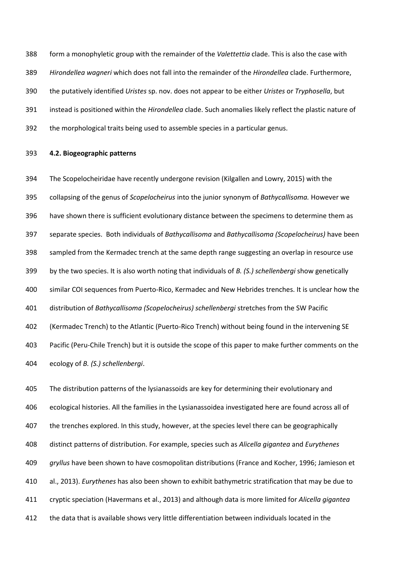form a monophyletic group with the remainder of the *Valettettia* clade. This is also the case with *Hirondellea wagneri* which does not fall into the remainder of the *Hirondellea* clade. Furthermore, the putatively identified *Uristes* sp. nov. does not appear to be either *Uristes* or *Tryphosella*, but instead is positioned within the *Hirondellea* clade. Such anomalies likely reflect the plastic nature of the morphological traits being used to assemble species in a particular genus.

#### **4.2. Biogeographic patterns**

 The Scopelocheiridae have recently undergone revision (Kilgallen and Lowry, 2015) with the collapsing of the genus of *Scopelocheirus* into the junior synonym of *Bathycallisoma.* However we have shown there is sufficient evolutionary distance between the specimens to determine them as separate species. Both individuals of *Bathycallisoma* and *Bathycallisoma (Scopelocheirus)* have been sampled from the Kermadec trench at the same depth range suggesting an overlap in resource use by the two species. It is also worth noting that individuals of *B. (S.) schellenbergi* show genetically similar COI sequences from Puerto-Rico, Kermadec and New Hebrides trenches. It is unclear how the distribution of *Bathycallisoma (Scopelocheirus) schellenbergi* stretches from the SW Pacific (Kermadec Trench) to the Atlantic (Puerto-Rico Trench) without being found in the intervening SE Pacific (Peru-Chile Trench) but it is outside the scope of this paper to make further comments on the ecology of *B. (S.) schellenbergi*.

 The distribution patterns of the lysianassoids are key for determining their evolutionary and ecological histories. All the families in the Lysianassoidea investigated here are found across all of the trenches explored. In this study, however, at the species level there can be geographically distinct patterns of distribution. For example, species such as *Alicella gigantea* and *Eurythenes gryllus* have been shown to have cosmopolitan distributions (France and Kocher, 1996; Jamieson et al., 2013). *Eurythenes* has also been shown to exhibit bathymetric stratification that may be due to cryptic speciation (Havermans et al., 2013) and although data is more limited for *Alicella gigantea* the data that is available shows very little differentiation between individuals located in the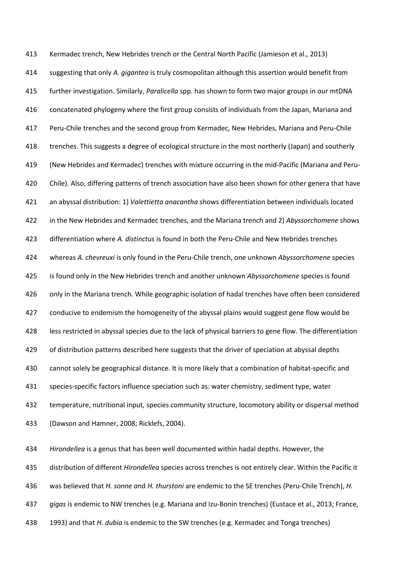Kermadec trench, New Hebrides trench or the Central North Pacific (Jamieson et al., 2013) suggesting that only *A. gigantea* is truly cosmopolitan although this assertion would benefit from further investigation. Similarly, *Paralicella* spp. has shown to form two major groups in our mtDNA concatenated phylogeny where the first group consists of individuals from the Japan, Mariana and Peru-Chile trenches and the second group from Kermadec, New Hebrides, Mariana and Peru-Chile trenches. This suggests a degree of ecological structure in the most northerly (Japan) and southerly (New Hebrides and Kermadec) trenches with mixture occurring in the mid-Pacific (Mariana and Peru-420 Chile). Also, differing patterns of trench association have also been shown for other genera that have an abyssal distribution: 1) *Valettietta anacantha* shows differentiation between individuals located in the New Hebrides and Kermadec trenches, and the Mariana trench and 2) *Abyssorchomene* shows differentiation where *A. distinctus* is found in both the Peru-Chile and New Hebrides trenches whereas *A. chevreuxi* is only found in the Peru-Chile trench, one unknown *Abyssorchomene* species is found only in the New Hebrides trench and another unknown *Abyssorchomene* species is found only in the Mariana trench. While geographic isolation of hadal trenches have often been considered 427 conducive to endemism the homogeneity of the abyssal plains would suggest gene flow would be less restricted in abyssal species due to the lack of physical barriers to gene flow. The differentiation of distribution patterns described here suggests that the driver of speciation at abyssal depths cannot solely be geographical distance. It is more likely that a combination of habitat-specific and species-specific factors influence speciation such as: water chemistry, sediment type, water temperature, nutritional input, species community structure, locomotory ability or dispersal method (Dawson and Hamner, 2008; Ricklefs, 2004).

 *Hirondellea* is a genus that has been well documented within hadal depths. However, the distribution of different *Hirondellea* species across trenches is not entirely clear. Within the Pacific it was believed that *H. sonne a*nd *H. thurstoni* are endemic to the SE trenches (Peru-Chile Trench), *H. gigas* is endemic to NW trenches (e.g. Mariana and Izu-Bonin trenches) (Eustace et al., 2013; France,

1993) and that *H. dubia* is endemic to the SW trenches (e.g. Kermadec and Tonga trenches)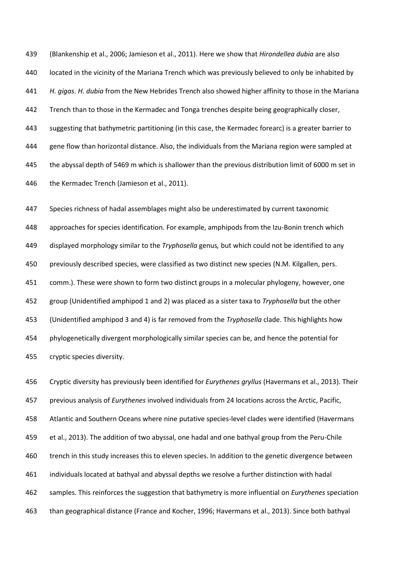(Blankenship et al., 2006; Jamieson et al., 2011). Here we show that *Hirondellea dubia* are also located in the vicinity of the Mariana Trench which was previously believed to only be inhabited by *H. gigas*. *H. dubia* from the New Hebrides Trench also showed higher affinity to those in the Mariana 442 Trench than to those in the Kermadec and Tonga trenches despite being geographically closer, suggesting that bathymetric partitioning (in this case, the Kermadec forearc) is a greater barrier to gene flow than horizontal distance. Also, the individuals from the Mariana region were sampled at the abyssal depth of 5469 m which is shallower than the previous distribution limit of 6000 m set in 446 the Kermadec Trench (Jamieson et al., 2011).

 Species richness of hadal assemblages might also be underestimated by current taxonomic approaches for species identification. For example, amphipods from the Izu-Bonin trench which displayed morphology similar to the *Tryphosella* genus*,* but which could not be identified to any previously described species, were classified as two distinct new species (N.M. Kilgallen, pers. comm.). These were shown to form two distinct groups in a molecular phylogeny, however, one group (Unidentified amphipod 1 and 2) was placed as a sister taxa to *Tryphosella* but the other (Unidentified amphipod 3 and 4) is far removed from the *Tryphosella* clade. This highlights how phylogenetically divergent morphologically similar species can be, and hence the potential for cryptic species diversity.

 Cryptic diversity has previously been identified for *Eurythenes gryllus* (Havermans et al., 2013). Their previous analysis of *Eurythenes* involved individuals from 24 locations across the Arctic, Pacific, Atlantic and Southern Oceans where nine putative species-level clades were identified (Havermans et al., 2013). The addition of two abyssal, one hadal and one bathyal group from the Peru-Chile trench in this study increases this to eleven species. In addition to the genetic divergence between individuals located at bathyal and abyssal depths we resolve a further distinction with hadal samples. This reinforces the suggestion that bathymetry is more influential on *Eurythenes* speciation than geographical distance (France and Kocher, 1996; Havermans et al., 2013). Since both bathyal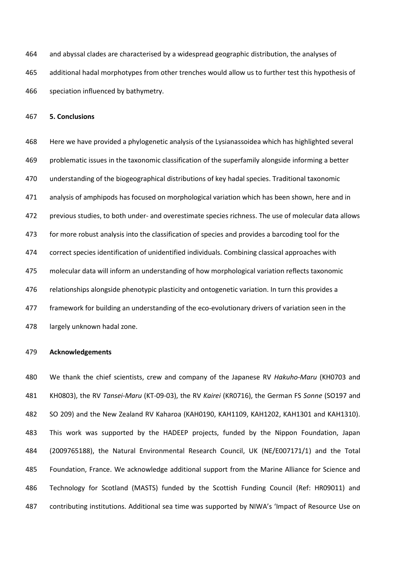and abyssal clades are characterised by a widespread geographic distribution, the analyses of additional hadal morphotypes from other trenches would allow us to further test this hypothesis of speciation influenced by bathymetry.

**5. Conclusions**

 Here we have provided a phylogenetic analysis of the Lysianassoidea which has highlighted several problematic issues in the taxonomic classification of the superfamily alongside informing a better understanding of the biogeographical distributions of key hadal species. Traditional taxonomic analysis of amphipods has focused on morphological variation which has been shown, here and in previous studies, to both under- and overestimate species richness. The use of molecular data allows 473 for more robust analysis into the classification of species and provides a barcoding tool for the correct species identification of unidentified individuals. Combining classical approaches with molecular data will inform an understanding of how morphological variation reflects taxonomic relationships alongside phenotypic plasticity and ontogenetic variation. In turn this provides a framework for building an understanding of the eco-evolutionary drivers of variation seen in the largely unknown hadal zone.

### **Acknowledgements**

 We thank the chief scientists, crew and company of the Japanese RV *Hakuho-Maru* (KH0703 and KH0803), the RV *Tansei-Maru* (KT-09-03), the RV *Kairei* (KR0716), the German FS *Sonne* (SO197 and SO 209) and the New Zealand RV Kaharoa (KAH0190, KAH1109, KAH1202, KAH1301 and KAH1310). This work was supported by the HADEEP projects, funded by the Nippon Foundation, Japan (2009765188), the Natural Environmental Research Council, UK (NE/E007171/1) and the Total Foundation, France. We acknowledge additional support from the Marine Alliance for Science and Technology for Scotland (MASTS) funded by the Scottish Funding Council (Ref: HR09011) and contributing institutions. Additional sea time was supported by NIWA's 'Impact of Resource Use on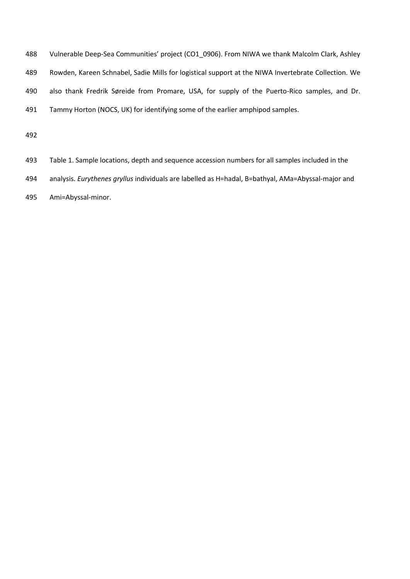| 488 | Vulnerable Deep-Sea Communities' project (CO1 0906). From NIWA we thank Malcolm Clark, Ashley       |
|-----|-----------------------------------------------------------------------------------------------------|
| 489 | Rowden, Kareen Schnabel, Sadie Mills for logistical support at the NIWA Invertebrate Collection. We |
| 490 | also thank Fredrik Søreide from Promare, USA, for supply of the Puerto-Rico samples, and Dr.        |
| 491 | Tammy Horton (NOCS, UK) for identifying some of the earlier amphipod samples.                       |
| 492 |                                                                                                     |

 Table 1. Sample locations, depth and sequence accession numbers for all samples included in the analysis. *Eurythenes gryllus* individuals are labelled as H=hadal, B=bathyal, AMa=Abyssal-major and Ami=Abyssal-minor.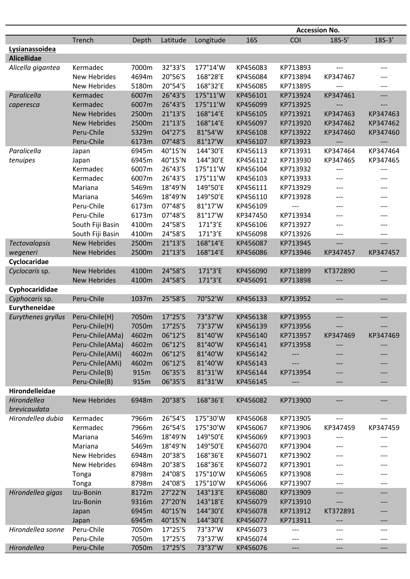|                      |                     |       |            |           |            |          | <b>Accession No.</b> |                          |
|----------------------|---------------------|-------|------------|-----------|------------|----------|----------------------|--------------------------|
|                      | Trench              | Depth | Latitude   | Longitude | <b>16S</b> | COI      | $18S-5'$             | $18S-3'$                 |
| Lysianassoidea       |                     |       |            |           |            |          |                      |                          |
| <b>Alicellidae</b>   |                     |       |            |           |            |          |                      |                          |
| Alicella gigantea    | Kermadec            | 7000m | 32°33'S    | 177°14'W  | KP456083   | KP713893 | ---                  | ---                      |
|                      | <b>New Hebrides</b> | 4694m | 20°56'S    | 168°28'E  | KP456084   | KP713894 | KP347467             | ---                      |
|                      | <b>New Hebrides</b> | 5180m | 20°54'S    | 168°32'E  | KP456085   | KP713895 | ---                  | ---                      |
| Paralicella          | Kermadec            | 6007m | 26°43'S    | 175°11'W  | KP456101   | KP713924 | KP347461             | $\overline{\phantom{0}}$ |
|                      |                     |       |            |           |            |          |                      |                          |
| caperesca            | Kermadec            | 6007m | 26°43'S    | 175°11'W  | KP456099   | KP713925 |                      |                          |
|                      | <b>New Hebrides</b> | 2500m | 21°13'S    | 168°14'E  | KP456105   | KP713921 | KP347463             | KP347463                 |
|                      | <b>New Hebrides</b> | 2500m | 21°13'S    | 168°14'E  | KP456097   | KP713920 | KP347462             | KP347462                 |
|                      | Peru-Chile          | 5329m | 04°27'S    | 81°54'W   | KP456108   | KP713922 | KP347460             | KP347460                 |
|                      | Peru-Chile          | 6173m | 07°48'S    | 81°17'W   | KP456107   | KP713923 | ---                  | ---                      |
| Paralicella          | Japan               | 6945m | 40°15'N    | 144°30'E  | KP456113   | KP713931 | KP347464             | KP347464                 |
| tenuipes             | Japan               | 6945m | 40°15'N    | 144°30'E  | KP456112   | KP713930 | KP347465             | KP347465                 |
|                      | Kermadec            | 6007m | 26°43'S    | 175°11'W  | KP456104   | KP713932 | ---                  | ---                      |
|                      | Kermadec            | 6007m | 26°43'S    | 175°11'W  | KP456103   | KP713933 | ---                  | ---                      |
|                      | Mariana             | 5469m | 18°49'N    | 149°50'E  | KP456111   | KP713929 | $---$                | ---                      |
|                      | Mariana             | 5469m | 18°49'N    | 149°50'E  | KP456110   | KP713928 | ---                  | ---                      |
|                      | Peru-Chile          | 6173m | 07°48'S    | 81°17'W   | KP456109   | ---      | ---                  | ---                      |
|                      | Peru-Chile          | 6173m | 07°48'S    | 81°17'W   | KP347450   | KP713934 | ---                  | ---                      |
|                      | South Fiji Basin    | 4100m | 24°58'S    | 171°3'E   | KP456106   | KP713927 | ---                  | ---                      |
|                      | South Fiji Basin    | 4100m | 24°58'S    | 171°3'E   | KP456098   | KP713926 | ---                  | ---                      |
| <b>Tectovalopsis</b> | <b>New Hebrides</b> | 2500m | 21°13'S    | 168°14'E  | KP456087   | KP713945 | ---                  | $---$                    |
| wegeneri             | <b>New Hebrides</b> | 2500m | 21°13'S    | 168°14'E  | KP456086   | KP713946 | KP347457             | KP347457                 |
| Cyclocaridae         |                     |       |            |           |            |          |                      |                          |
| Cyclocaris sp.       | <b>New Hebrides</b> | 4100m | 24°58'S    | 171°3'E   | KP456090   | KP713899 | KT372890             | ---                      |
|                      | <b>New Hebrides</b> | 4100m | 24°58'S    | 171°3'E   | KP456091   | KP713898 | ---                  | ---                      |
| Cyphocarididae       |                     |       |            |           |            |          |                      |                          |
| Cyphocaris sp.       | Peru-Chile          | 1037m | 25°58'S    | 70°52'W   | KP456133   | KP713952 | ---                  | ---                      |
| Eurytheneidae        |                     |       |            |           |            |          |                      |                          |
|                      |                     |       |            |           |            |          |                      |                          |
| Eurythenes gryllus   | Peru-Chile(H)       | 7050m | 17°25'S    | 73°37'W   | KP456138   | KP713955 | ---                  | ---                      |
|                      | Peru-Chile(H)       | 7050m | 17°25'S    | 73°37'W   | KP456139   | KP713956 |                      |                          |
|                      | Peru-Chile(AMa)     | 4602m | 06°12'S    | 81°40'W   | KP456140   | KP713957 | KP347469             | KP347469                 |
|                      | Peru-Chile(AMa)     | 4602m | 06°12'S    | 81°40'W   | KP456141   | KP713958 |                      |                          |
|                      | Peru-Chile(AMi)     | 4602m | 06°12'S    | 81°40'W   | KP456142   |          |                      |                          |
|                      | Peru-Chile(AMi)     | 4602m | 06°12'S    | 81°40'W   | KP456143   | ---      |                      |                          |
|                      | Peru-Chile(B)       | 915m  | 06°35'S    | 81°31'W   | KP456144   | KP713954 |                      |                          |
|                      | Peru-Chile(B)       | 915m  | 06°35'S    | 81°31'W   | KP456145   |          | ---                  | ---                      |
| Hirondelleidae       |                     |       |            |           |            |          |                      |                          |
| Hirondellea          | <b>New Hebrides</b> | 6948m | 20°38'S    | 168°36'E  | KP456082   | KP713900 | ---                  | ---                      |
| brevicaudata         |                     |       |            |           |            |          |                      |                          |
| Hirondellea dubia    | Kermadec            | 7966m | 26°54'S    | 175°30'W  | KP456068   | KP713905 | ---                  | $---$                    |
|                      | Kermadec            | 7966m | 26°54'S    | 175°30'W  | KP456067   | KP713906 | KP347459             | KP347459                 |
|                      | Mariana             | 5469m | 18°49'N    | 149°50'E  | KP456069   | KP713903 | ---                  | ---                      |
|                      | Mariana             | 5469m | 18°49'N    | 149°50'E  | KP456070   | KP713904 |                      |                          |
|                      | <b>New Hebrides</b> | 6948m | 20°38'S    | 168°36'E  | KP456071   | KP713902 |                      | ---                      |
|                      | New Hebrides        | 6948m | 20°38'S    | 168°36'E  | KP456072   | KP713901 |                      |                          |
|                      | Tonga               | 8798m | 24°08'S    | 175°10'W  | KP456065   | KP713908 | ---                  |                          |
|                      | Tonga               | 8798m | 24°08'S    | 175°10'W  | KP456066   | KP713907 | ---                  | ---                      |
| Hirondellea gigas    | Izu-Bonin           | 8172m | 27°22'N    | 143°13'E  | KP456080   | KP713909 | ---                  | ---                      |
|                      | Izu-Bonin           | 9316m | 27°20'N    | 143°18'E  | KP456079   | KP713910 |                      |                          |
|                      |                     |       |            | 144°30'E  |            |          | ---                  | ---                      |
|                      | Japan               | 6945m | 40°15'N    |           | KP456078   | KP713912 | KT372891             | ---                      |
|                      | Japan               | 6945m | 40°15'N    | 144°30'E  | KP456077   | KP713911 | ---                  | ---                      |
| Hirondellea sonne    | Peru-Chile          | 7050m | $17°25'$ S | 73°37'W   | KP456073   |          | ---                  | ---                      |
|                      | Peru-Chile          | 7050m | 17°25'S    | 73°37'W   | KP456074   | ---      | ---                  | $---$                    |
| Hirondellea          | Peru-Chile          | 7050m | 17°25'S    | 73°37'W   | KP456076   | ---      | ---                  | $---$                    |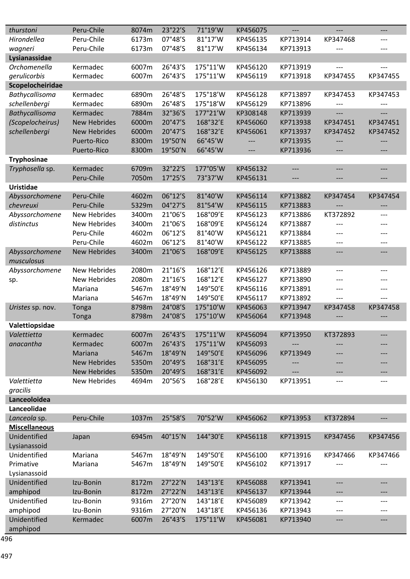| thurstoni            | Peru-Chile          | 8074m | 23°22'S | 71°19'W  | KP456075 | $---$    | $---$          | ---      |
|----------------------|---------------------|-------|---------|----------|----------|----------|----------------|----------|
| Hirondellea          | Peru-Chile          | 6173m | 07°48'S | 81°17'W  | KP456135 | KP713914 | KP347468       | ---      |
| wagneri              | Peru-Chile          | 6173m | 07°48'S | 81°17'W  | KP456134 | KP713913 |                | ---      |
| Lysianassidae        |                     |       |         |          |          |          |                |          |
| Orchomenella         | Kermadec            | 6007m | 26°43'S | 175°11'W | KP456120 | KP713919 |                | ---      |
| gerulicorbis         | Kermadec            | 6007m | 26°43'S | 175°11'W | KP456119 | KP713918 | KP347455       | KP347455 |
| Scopelocheiridae     |                     |       |         |          |          |          |                |          |
| Bathycallisoma       | Kermadec            | 6890m | 26°48'S | 175°18'W | KP456128 | KP713897 | KP347453       | KP347453 |
| schellenbergi        | Kermadec            | 6890m | 26°48'S | 175°18'W | KP456129 | KP713896 | ---            |          |
| Bathycallisoma       | Kermadec            | 7884m | 32°36'S | 177°21'W | KP308148 | KP713939 | $\overline{a}$ | ---      |
| (Scopelocheirus)     | <b>New Hebrides</b> | 6000m | 20°47'S | 168°32'E | KP456060 | KP713938 | KP347451       | KP347451 |
| schellenbergi        | <b>New Hebrides</b> | 6000m | 20°47'S | 168°32'E | KP456061 | KP713937 | KP347452       | KP347452 |
|                      | Puerto-Rico         | 8300m | 19°50'N | 66°45'W  | ---      | KP713935 |                |          |
|                      | Puerto-Rico         | 8300m | 19°50'N | 66°45'W  |          | KP713936 |                | ---      |
| <b>Tryphosinae</b>   |                     |       |         |          |          |          |                |          |
| Tryphosella sp.      | Kermadec            | 6709m | 32°22'S | 177°05'W | KP456132 | ---      | $---$          | ---      |
|                      | Peru-Chile          | 7050m | 17°25'S | 73°37'W  | KP456131 | ---      | ---            | ---      |
| <b>Uristidae</b>     |                     |       |         |          |          |          |                |          |
| Abyssorchomene       | Peru-Chile          | 4602m | 06°12'S | 81°40'W  | KP456114 | KP713882 | KP347454       | KP347454 |
| chevreuxi            | Peru-Chile          | 5329m | 04°27'S | 81°54'W  | KP456115 | KP713883 |                | ---      |
| Abyssorchomene       | <b>New Hebrides</b> | 3400m | 21°06'S | 168°09'E | KP456123 | KP713886 | KT372892       | ---      |
| distinctus           | <b>New Hebrides</b> | 3400m | 21°06'S | 168°09'E | KP456124 | KP713887 |                |          |
|                      | Peru-Chile          | 4602m | 06°12'S | 81°40'W  | KP456121 | KP713884 |                |          |
|                      | Peru-Chile          | 4602m | 06°12'S | 81°40'W  | KP456122 | KP713885 | $---$          | ---      |
| Abyssorchomene       | <b>New Hebrides</b> | 3400m | 21°06'S | 168°09'E | KP456125 | KP713888 | $---$          | ---      |
| musculosus           |                     |       |         |          |          |          |                |          |
| Abyssorchomene       | <b>New Hebrides</b> | 2080m | 21°16'S | 168°12'E | KP456126 | KP713889 | $---$          | ---      |
| sp.                  | <b>New Hebrides</b> | 2080m | 21°16'S | 168°12'E | KP456127 | KP713890 | ---            | ---      |
|                      | Mariana             | 5467m | 18°49'N | 149°50'E | KP456116 | KP713891 | ---            | ---      |
|                      | Mariana             | 5467m | 18°49'N | 149°50'E | KP456117 | KP713892 | $---$          | ---      |
| Uristes sp. nov.     | Tonga               | 8798m | 24°08'S | 175°10'W | KP456063 | KP713947 | KP347458       | KP347458 |
|                      | Tonga               | 8798m | 24°08'S | 175°10'W | KP456064 | KP713948 |                |          |
| Valettiopsidae       |                     |       |         |          |          |          |                |          |
| Valettietta          | Kermadec            | 6007m | 26°43'S | 175°11'W | KP456094 | KP713950 | KT372893       |          |
| anacantha            | Kermadec            | 6007m | 26°43'S | 175°11'W | KP456093 |          |                |          |
|                      | Mariana             | 5467m | 18°49'N | 149°50'E | KP456096 | KP713949 |                | ---      |
|                      | <b>New Hebrides</b> | 5350m | 20°49'S | 168°31'E | KP456095 |          |                | ---      |
|                      | <b>New Hebrides</b> | 5350m | 20°49'S | 168°31'E | KP456092 |          | ---            | ---      |
| Valettietta          | <b>New Hebrides</b> | 4694m | 20°56'S | 168°28'E | KP456130 | KP713951 | ---            | $---$    |
| gracilis             |                     |       |         |          |          |          |                |          |
| Lanceoloidea         |                     |       |         |          |          |          |                |          |
| Lanceolidae          |                     |       |         |          |          |          |                |          |
| Lanceola sp.         | Peru-Chile          | 1037m | 25°58'S | 70°52'W  | KP456062 | KP713953 | KT372894       | ---      |
| <b>Miscellaneous</b> |                     |       |         |          |          |          |                |          |
| Unidentified         | Japan               | 6945m | 40°15'N | 144°30'E | KP456118 | KP713915 | KP347456       | KP347456 |
| Lysianassoid         |                     |       |         |          |          |          |                |          |
| Unidentified         | Mariana             | 5467m | 18°49'N | 149°50'E | KP456100 | KP713916 | KP347466       | KP347466 |
| Primative            | Mariana             | 5467m | 18°49'N | 149°50'E | KP456102 | KP713917 |                |          |
| Lysianassoid         |                     |       |         |          |          |          |                |          |
| Unidentified         | Izu-Bonin           | 8172m | 27°22'N | 143°13'E | KP456088 | KP713941 | ---            | ---      |
| amphipod             | Izu-Bonin           | 8172m | 27°22'N | 143°13'E | KP456137 | KP713944 |                | ---      |
| Unidentified         | Izu-Bonin           | 9316m | 27°20'N | 143°18'E | KP456089 | KP713942 | ---            | ---      |
| amphipod             | Izu-Bonin           | 9316m | 27°20'N | 143°18'E | KP456136 | KP713943 | ---            | ---      |
| Unidentified         | Kermadec            | 6007m | 26°43'S | 175°11'W | KP456081 | KP713940 | ---            | ---      |
| amphipod             |                     |       |         |          |          |          |                |          |

 $rac{6}{496}$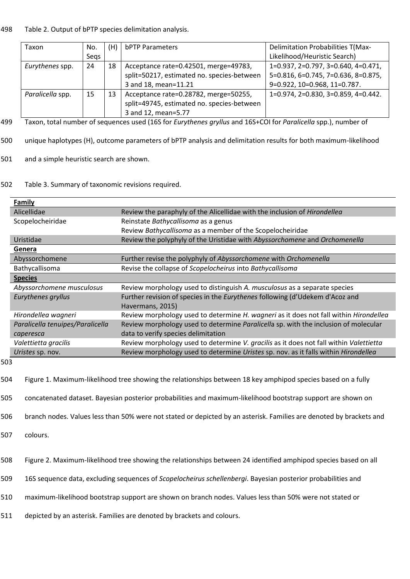# 498 Table 2. Output of bPTP species delimitation analysis.

| Taxon            | No.  | (H) | bPTP Parameters                            | <b>Delimitation Probabilities T(Max-</b>        |
|------------------|------|-----|--------------------------------------------|-------------------------------------------------|
|                  | Segs |     |                                            | Likelihood/Heuristic Search)                    |
| Eurythenes spp.  | 24   | 18  | Acceptance rate=0.42501, merge=49783,      | $1=0.937, 2=0.797, 3=0.640, 4=0.471,$           |
|                  |      |     | split=50217, estimated no. species-between | 5=0.816, 6=0.745, 7=0.636, 8=0.875,             |
|                  |      |     | 3 and 18, mean=11.21                       | 9=0.922, 10=0.968, 11=0.787.                    |
| Paralicella spp. | 15   | 13  | Acceptance rate=0.28782, merge=50255,      | $1=0.974$ , $2=0.830$ , $3=0.859$ , $4=0.442$ . |
|                  |      |     | split=49745, estimated no. species-between |                                                 |
|                  |      |     | 3 and 12, mean=5.77                        |                                                 |

499 Taxon, total number of sequences used (16S for *Eurythenes gryllus* and 16S+COI for *Paralicella* spp.), number of

- 500 unique haplotypes (H), outcome parameters of bPTP analysis and delimitation results for both maximum-likelihood
- 501 and a simple heuristic search are shown.
- 502 Table 3. Summary of taxonomic revisions required.

| <b>Family</b>                    |                                                                                                                     |  |  |  |
|----------------------------------|---------------------------------------------------------------------------------------------------------------------|--|--|--|
| Alicellidae                      | Review the paraphyly of the Alicellidae with the inclusion of Hirondellea                                           |  |  |  |
| Scopelocheiridae                 | Reinstate Bathycallisoma as a genus                                                                                 |  |  |  |
|                                  | Review Bathycallisoma as a member of the Scopelocheiridae                                                           |  |  |  |
| Uristidae                        | Review the polyphyly of the Uristidae with Abyssorchomene and Orchomenella                                          |  |  |  |
| Genera                           |                                                                                                                     |  |  |  |
| Abyssorchomene                   | Further revise the polyphyly of Abyssorchomene with Orchomenella                                                    |  |  |  |
| <b>Bathycallisoma</b>            | Revise the collapse of Scopelocheirus into Bathycallisoma                                                           |  |  |  |
| <b>Species</b>                   |                                                                                                                     |  |  |  |
| Abyssorchomene musculosus        | Review morphology used to distinguish A. musculosus as a separate species                                           |  |  |  |
| Eurythenes gryllus               | Further revision of species in the Eurythenes following (d'Udekem d'Acoz and<br>Havermans, 2015)                    |  |  |  |
| Hirondellea wagneri              | Review morphology used to determine H. wagneri as it does not fall within Hirondellea                               |  |  |  |
| Paralicella tenuipes/Paralicella | Review morphology used to determine Paralicella sp. with the inclusion of molecular                                 |  |  |  |
| caperesca                        | data to verify species delimitation                                                                                 |  |  |  |
| Valettietta gracilis             | Review morphology used to determine V. gracilis as it does not fall within Valettietta                              |  |  |  |
| Uristes sp. nov.                 | Review morphology used to determine Uristes sp. nov. as it falls within Hirondellea                                 |  |  |  |
| 503                              |                                                                                                                     |  |  |  |
| 504                              | Figure 1. Maximum-likelihood tree showing the relationships between 18 key amphipod species based on a fully        |  |  |  |
| 505                              | concatenated dataset. Bayesian posterior probabilities and maximum-likelihood bootstrap support are shown on        |  |  |  |
| 506                              | branch nodes. Values less than 50% were not stated or depicted by an asterisk. Families are denoted by brackets and |  |  |  |
| <b>FOT</b><br>$\sim$             |                                                                                                                     |  |  |  |

- 507 colours.
- 508 Figure 2. Maximum-likelihood tree showing the relationships between 24 identified amphipod species based on all
- 509 16S sequence data, excluding sequences of *Scopelocheirus schellenbergi*. Bayesian posterior probabilities and
- 510 maximum-likelihood bootstrap support are shown on branch nodes. Values less than 50% were not stated or
- 511 depicted by an asterisk. Families are denoted by brackets and colours.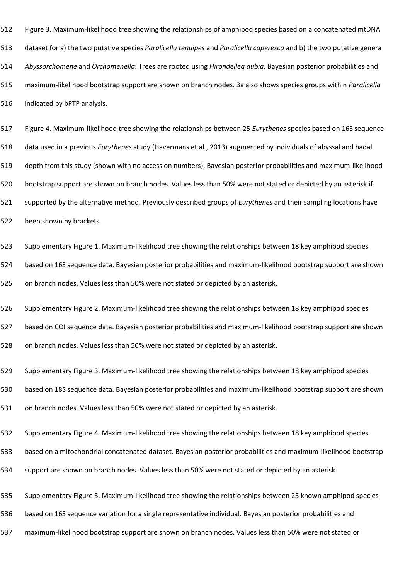Figure 3. Maximum-likelihood tree showing the relationships of amphipod species based on a concatenated mtDNA dataset for a) the two putative species *Paralicella tenuipes* and *Paralicella caperesca* and b) the two putative genera *Abyssorchomene* and *Orchomenella*. Trees are rooted using *Hirondellea dubia*. Bayesian posterior probabilities and maximum-likelihood bootstrap support are shown on branch nodes. 3a also shows species groups within *Paralicella* indicated by bPTP analysis.

 Figure 4. Maximum-likelihood tree showing the relationships between 25 *Eurythenes* species based on 16S sequence data used in a previous *Eurythenes* study (Havermans et al., 2013) augmented by individuals of abyssal and hadal depth from this study (shown with no accession numbers). Bayesian posterior probabilities and maximum-likelihood bootstrap support are shown on branch nodes. Values less than 50% were not stated or depicted by an asterisk if supported by the alternative method. Previously described groups of *Eurythenes* and their sampling locations have been shown by brackets.

Supplementary Figure 1. Maximum-likelihood tree showing the relationships between 18 key amphipod species

based on 16S sequence data. Bayesian posterior probabilities and maximum-likelihood bootstrap support are shown

on branch nodes. Values less than 50% were not stated or depicted by an asterisk.

Supplementary Figure 2. Maximum-likelihood tree showing the relationships between 18 key amphipod species

based on COI sequence data. Bayesian posterior probabilities and maximum-likelihood bootstrap support are shown

on branch nodes. Values less than 50% were not stated or depicted by an asterisk.

Supplementary Figure 3. Maximum-likelihood tree showing the relationships between 18 key amphipod species

based on 18S sequence data. Bayesian posterior probabilities and maximum-likelihood bootstrap support are shown

on branch nodes. Values less than 50% were not stated or depicted by an asterisk.

Supplementary Figure 4. Maximum-likelihood tree showing the relationships between 18 key amphipod species

based on a mitochondrial concatenated dataset. Bayesian posterior probabilities and maximum-likelihood bootstrap

support are shown on branch nodes. Values less than 50% were not stated or depicted by an asterisk.

Supplementary Figure 5. Maximum-likelihood tree showing the relationships between 25 known amphipod species

based on 16S sequence variation for a single representative individual. Bayesian posterior probabilities and

maximum-likelihood bootstrap support are shown on branch nodes. Values less than 50% were not stated or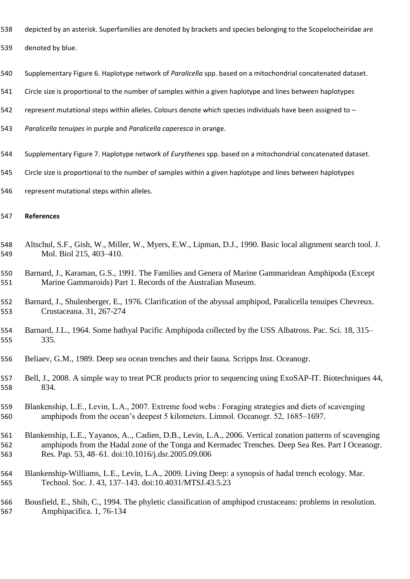- depicted by an asterisk. Superfamilies are denoted by brackets and species belonging to the Scopelocheiridae are
- denoted by blue.
- Supplementary Figure 6. Haplotype network of *Paralicella* spp. based on a mitochondrial concatenated dataset.
- Circle size is proportional to the number of samples within a given haplotype and lines between haplotypes
- 542 represent mutational steps within alleles. Colours denote which species individuals have been assigned to -
- *Paralicella tenuipes* in purple and *Paralicella caperesca* in orange.
- Supplementary Figure 7. Haplotype network of *Eurythenes* spp. based on a mitochondrial concatenated dataset.
- Circle size is proportional to the number of samples within a given haplotype and lines between haplotypes
- represent mutational steps within alleles.

## **References**

- Altschul, S.F., Gish, W., Miller, W., Myers, E.W., Lipman, D.J., 1990. Basic local alignment search tool. J. Mol. Biol 215, 403–410.
- Barnard, J., Karaman, G.S., 1991. The Families and Genera of Marine Gammaridean Amphipoda (Except Marine Gammaroids) Part 1. Records of the Australian Museum.
- Barnard, J., Shulenberger, E., 1976. Clarification of the abyssal amphipod, Paralicella tenuipes Chevreux. Crustaceana. 31, 267-274
- Barnard, J.L., 1964. Some bathyal Pacific Amphipoda collected by the USS Albatross. Pac. Sci. 18, 315– 335.
- Beliaev, G.M., 1989. Deep sea ocean trenches and their fauna. Scripps Inst. Oceanogr.
- Bell, J., 2008. A simple way to treat PCR products prior to sequencing using ExoSAP-IT. Biotechniques 44, 834.
- Blankenship, L.E., Levin, L.A., 2007. Extreme food webs : Foraging strategies and diets of scavenging amphipods from the ocean's deepest 5 kilometers. Limnol. Oceanogr. 52, 1685–1697.
- Blankenship, L.E., Yayanos, A.., Cadien, D.B., Levin, L.A., 2006. Vertical zonation patterns of scavenging amphipods from the Hadal zone of the Tonga and Kermadec Trenches. Deep Sea Res. Part I Oceanogr. Res. Pap. 53, 48–61. doi:10.1016/j.dsr.2005.09.006
- Blankenship-Williams, L.E., Levin, L.A., 2009. Living Deep: a synopsis of hadal trench ecology. Mar. Technol. Soc. J. 43, 137–143. doi:10.4031/MTSJ.43.5.23

 Bousfield, E., Shih, C., 1994. The phyletic classification of amphipod crustaceans: problems in resolution. Amphipacifica. 1, 76-134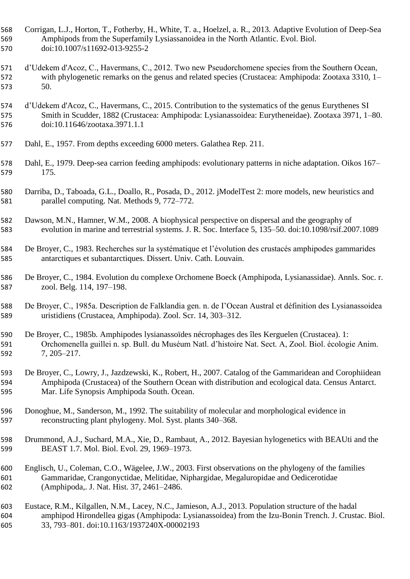- Corrigan, L.J., Horton, T., Fotherby, H., White, T. a., Hoelzel, a. R., 2013. Adaptive Evolution of Deep-Sea Amphipods from the Superfamily Lysiassanoidea in the North Atlantic. Evol. Biol. doi:10.1007/s11692-013-9255-2
- d'Udekem d'Acoz, C., Havermans, C., 2012. Two new Pseudorchomene species from the Southern Ocean, with phylogenetic remarks on the genus and related species (Crustacea: Amphipoda: Zootaxa 3310, 1– 50.
- d'Udekem d'Acoz, C., Havermans, C., 2015. Contribution to the systematics of the genus Eurythenes SI Smith in Scudder, 1882 (Crustacea: Amphipoda: Lysianassoidea: Eurytheneidae). Zootaxa 3971, 1–80. doi:10.11646/zootaxa.3971.1.1
- Dahl, E., 1957. From depths exceeding 6000 meters. Galathea Rep. 211.
- Dahl, E., 1979. Deep-sea carrion feeding amphipods: evolutionary patterns in niche adaptation. Oikos 167– 175.
- Darriba, D., Taboada, G.L., Doallo, R., Posada, D., 2012. jModelTest 2: more models, new heuristics and parallel computing. Nat. Methods 9, 772–772.
- Dawson, M.N., Hamner, W.M., 2008. A biophysical perspective on dispersal and the geography of evolution in marine and terrestrial systems. J. R. Soc. Interface 5, 135–50. doi:10.1098/rsif.2007.1089
- De Broyer, C., 1983. Recherches sur la systématique et l'évolution des crustacés amphipodes gammarides antarctiques et subantarctiques. Dissert. Univ. Cath. Louvain.
- De Broyer, C., 1984. Evolution du complexe Orchomene Boeck (Amphipoda, Lysianassidae). Annls. Soc. r. zool. Belg. 114, 197–198.
- De Broyer, C., 1985a. Description de Falklandia gen. n. de I'Ocean Austral et définition des Lysianassoidea uristidiens (Crustacea, Amphipoda). Zool. Scr. 14, 303–312.
- De Broyer, C., 1985b. Amphipodes lysianassoïdes nécrophages des îles Kerguelen (Crustacea). 1: Orchomenella guillei n. sp. Bull. du Muséum Natl. d'histoire Nat. Sect. A, Zool. Biol. écologie Anim. 7, 205–217.
- De Broyer, C., Lowry, J., Jazdzewski, K., Robert, H., 2007. Catalog of the Gammaridean and Corophiidean Amphipoda (Crustacea) of the Southern Ocean with distribution and ecological data. Census Antarct. Mar. Life Synopsis Amphipoda South. Ocean.
- Donoghue, M., Sanderson, M., 1992. The suitability of molecular and morphological evidence in reconstructing plant phylogeny. Mol. Syst. plants 340–368.
- Drummond, A.J., Suchard, M.A., Xie, D., Rambaut, A., 2012. Bayesian hylogenetics with BEAUti and the BEAST 1.7. Mol. Biol. Evol. 29, 1969–1973.
- Englisch, U., Coleman, C.O., Wägelee, J.W., 2003. First observations on the phylogeny of the families Gammaridae, Crangonyctidae, Melitidae, Niphargidae, Megaluropidae and Oedicerotidae (Amphipoda,. J. Nat. Hist. 37, 2461–2486.
- Eustace, R.M., Kilgallen, N.M., Lacey, N.C., Jamieson, A.J., 2013. Population structure of the hadal amphipod Hirondellea gigas (Amphipoda: Lysianassoidea) from the Izu-Bonin Trench. J. Crustac. Biol. 33, 793–801. doi:10.1163/1937240X-00002193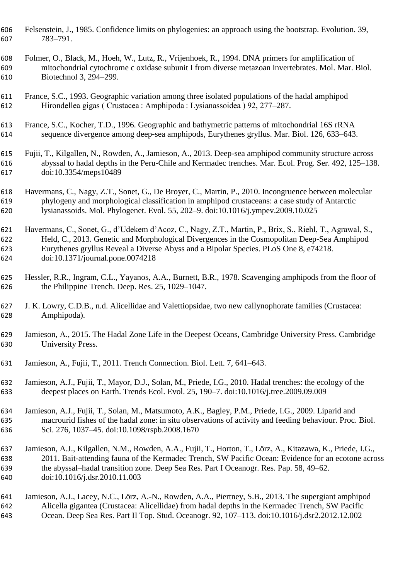Felsenstein, J., 1985. Confidence limits on phylogenies: an approach using the bootstrap. Evolution. 39, 783–791.

 Folmer, O., Black, M., Hoeh, W., Lutz, R., Vrijenhoek, R., 1994. DNA primers for amplification of mitochondrial cytochrome c oxidase subunit I from diverse metazoan invertebrates. Mol. Mar. Biol. Biotechnol 3, 294–299.

 France, S.C., 1993. Geographic variation among three isolated populations of the hadal amphipod Hirondellea gigas ( Crustacea : Amphipoda : Lysianassoidea ) 92, 277–287.

 France, S.C., Kocher, T.D., 1996. Geographic and bathymetric patterns of mitochondrial 16S rRNA sequence divergence among deep-sea amphipods, Eurythenes gryllus. Mar. Biol. 126, 633–643.

 Fujii, T., Kilgallen, N., Rowden, A., Jamieson, A., 2013. Deep-sea amphipod community structure across abyssal to hadal depths in the Peru-Chile and Kermadec trenches. Mar. Ecol. Prog. Ser. 492, 125–138. doi:10.3354/meps10489

 Havermans, C., Nagy, Z.T., Sonet, G., De Broyer, C., Martin, P., 2010. Incongruence between molecular phylogeny and morphological classification in amphipod crustaceans: a case study of Antarctic lysianassoids. Mol. Phylogenet. Evol. 55, 202–9. doi:10.1016/j.ympev.2009.10.025

 Havermans, C., Sonet, G., d'Udekem d'Acoz, C., Nagy, Z.T., Martin, P., Brix, S., Riehl, T., Agrawal, S., Held, C., 2013. Genetic and Morphological Divergences in the Cosmopolitan Deep-Sea Amphipod Eurythenes gryllus Reveal a Diverse Abyss and a Bipolar Species. PLoS One 8, e74218. doi:10.1371/journal.pone.0074218

 Hessler, R.R., Ingram, C.L., Yayanos, A.A., Burnett, B.R., 1978. Scavenging amphipods from the floor of the Philippine Trench. Deep. Res. 25, 1029–1047.

 J. K. Lowry, C.D.B., n.d. Alicellidae and Valettiopsidae, two new callynophorate families (Crustacea: Amphipoda).

 Jamieson, A., 2015. The Hadal Zone Life in the Deepest Oceans, Cambridge University Press. Cambridge University Press.

Jamieson, A., Fujii, T., 2011. Trench Connection. Biol. Lett. 7, 641–643.

 Jamieson, A.J., Fujii, T., Mayor, D.J., Solan, M., Priede, I.G., 2010. Hadal trenches: the ecology of the deepest places on Earth. Trends Ecol. Evol. 25, 190–7. doi:10.1016/j.tree.2009.09.009

 Jamieson, A.J., Fujii, T., Solan, M., Matsumoto, A.K., Bagley, P.M., Priede, I.G., 2009. Liparid and macrourid fishes of the hadal zone: in situ observations of activity and feeding behaviour. Proc. Biol. Sci. 276, 1037–45. doi:10.1098/rspb.2008.1670

 Jamieson, A.J., Kilgallen, N.M., Rowden, A.A., Fujii, T., Horton, T., Lörz, A., Kitazawa, K., Priede, I.G., 2011. Bait-attending fauna of the Kermadec Trench, SW Pacific Ocean: Evidence for an ecotone across the abyssal–hadal transition zone. Deep Sea Res. Part I Oceanogr. Res. Pap. 58, 49–62. doi:10.1016/j.dsr.2010.11.003

 Jamieson, A.J., Lacey, N.C., Lörz, A.-N., Rowden, A.A., Piertney, S.B., 2013. The supergiant amphipod Alicella gigantea (Crustacea: Alicellidae) from hadal depths in the Kermadec Trench, SW Pacific Ocean. Deep Sea Res. Part II Top. Stud. Oceanogr. 92, 107–113. doi:10.1016/j.dsr2.2012.12.002